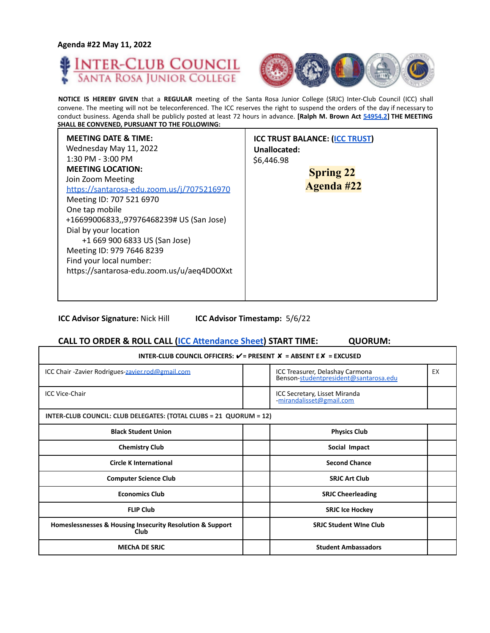



**NOTICE IS HEREBY GIVEN** that a **REGULAR** meeting of the Santa Rosa Junior College (SRJC) Inter-Club Council (ICC) shall convene. The meeting will not be teleconferenced. The ICC reserves the right to suspend the orders of the day if necessary to conduct business. Agenda shall be publicly posted at least 72 hours in advance. **[Ralph M. Brown Act 54954.2] THE MEETING SHALL BE CONVENED, PURSUANT TO THE FOLLOWING:**

| <b>MEETING DATE &amp; TIME:</b><br>Wednesday May 11, 2022<br>$1:30$ PM - $3:00$ PM<br><b>MEETING LOCATION:</b><br>Join Zoom Meeting<br>https://santarosa-edu.zoom.us/j/7075216970<br>Meeting ID: 707 521 6970<br>One tap mobile<br>+16699006833,,97976468239# US (San Jose)<br>Dial by your location<br>+1 669 900 6833 US (San Jose)<br>Meeting ID: 979 7646 8239<br>Find your local number:<br>https://santarosa-edu.zoom.us/u/aeq4D0OXxt | <b>ICC TRUST BALANCE: (ICC TRUST)</b><br>Unallocated:<br>\$6,446.98<br><b>Spring 22</b><br><b>Agenda #22</b> |
|---------------------------------------------------------------------------------------------------------------------------------------------------------------------------------------------------------------------------------------------------------------------------------------------------------------------------------------------------------------------------------------------------------------------------------------------|--------------------------------------------------------------------------------------------------------------|
|                                                                                                                                                                                                                                                                                                                                                                                                                                             |                                                                                                              |

**ICC Advisor Signature:** Nick Hill **ICC Advisor Timestamp:** 5/6/22

# **CALL TO ORDER & ROLL CALL (ICC Attendance Sheet) START TIME: QUORUM:**

| INTER-CLUB COUNCIL OFFICERS: $V = P$ RESENT $X = AB$ SENT E $X = EXCUSED$ |  |                                                                          |    |
|---------------------------------------------------------------------------|--|--------------------------------------------------------------------------|----|
| ICC Chair - Zavier Rodrigues-zavier.rod@gmail.com                         |  | ICC Treasurer, Delashay Carmona<br>Benson-studentpresident@santarosa.edu | EX |
| <b>ICC Vice-Chair</b>                                                     |  | ICC Secretary, Lisset Miranda<br>mirandalisset@gmail.com                 |    |
| INTER-CLUB COUNCIL: CLUB DELEGATES: (TOTAL CLUBS = 21 QUORUM = 12)        |  |                                                                          |    |
| <b>Black Student Union</b>                                                |  | <b>Physics Club</b>                                                      |    |
| <b>Chemistry Club</b>                                                     |  | Social Impact                                                            |    |
| <b>Circle K International</b>                                             |  | <b>Second Chance</b>                                                     |    |
| <b>Computer Science Club</b>                                              |  | <b>SRJC Art Club</b>                                                     |    |
| <b>Economics Club</b>                                                     |  | <b>SRJC Cheerleading</b>                                                 |    |
| <b>FLIP Club</b>                                                          |  | <b>SRJC Ice Hockey</b>                                                   |    |
| Homeslessnesses & Housing Insecurity Resolution & Support<br>Club         |  | <b>SRJC Student Wine Club</b>                                            |    |
| <b>MECHA DE SRJC</b>                                                      |  | <b>Student Ambassadors</b>                                               |    |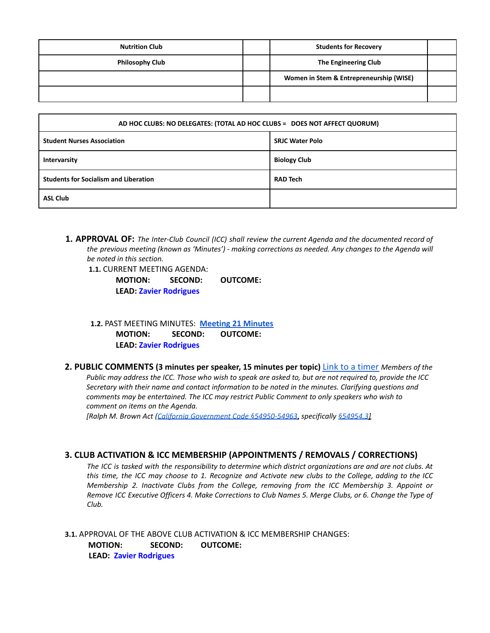| <b>Nutrition Club</b>  | <b>Students for Recovery</b>            |  |
|------------------------|-----------------------------------------|--|
| <b>Philosophy Club</b> | The Engineering Club                    |  |
|                        | Women in Stem & Entrepreneurship (WISE) |  |
|                        |                                         |  |

| AD HOC CLUBS: NO DELEGATES: (TOTAL AD HOC CLUBS = DOES NOT AFFECT QUORUM) |                        |  |
|---------------------------------------------------------------------------|------------------------|--|
| <b>Student Nurses Association</b>                                         | <b>SRJC Water Polo</b> |  |
| Intervarsity                                                              | <b>Biology Club</b>    |  |
| <b>Students for Socialism and Liberation</b>                              | <b>RAD Tech</b>        |  |
| <b>ASL Club</b>                                                           |                        |  |

**1. APPROVAL OF:** *The Inter-Club Council (ICC) shall review the current Agenda and the documented record of the previous meeting (known as 'Minutes') - making corrections as needed. Any changes to the Agenda will be noted in this section.*

**1.1.** CURRENT MEETING AGENDA:

**MOTION: SECOND: OUTCOME: LEAD: Zavier Rodrigues**

**1.2.** PAST MEETING MINUTES: **[Meeting](https://docs.google.com/document/d/1ezOGKvzNhgdZJP4b8miDjPczK9x82lHCDlJjiKW6120/edit?usp=sharing) 21 Minutes MOTION: SECOND: OUTCOME: LEAD: Zavier Rodrigues**

**2. PUBLIC COMMENTS (3 minutes per speaker, 15 minutes per topic)** Link to a timer *Members of the* Public may address the ICC. Those who wish to speak are asked to, but are not required to, provide the ICC *Secretary with their name and contact information to be noted in the minutes. Clarifying questions and comments may be entertained. The ICC may restrict Public Comment to only speakers who wish to comment on items on the Agenda.*

*[Ralph M. Brown Act (California Government Code §54950-54963, specifically §54954.3]*

# **3. CLUB ACTIVATION & ICC MEMBERSHIP (APPOINTMENTS / REMOVALS / CORRECTIONS)**

The ICC is tasked with the responsibility to determine which district organizations are and are not clubs. At this time, the ICC may choose to 1. Recognize and Activate new clubs to the College, adding to the ICC *Membership 2. Inactivate Clubs from the College, removing from the ICC Membership 3. Appoint or* Remove ICC Executive Officers 4. Make Corrections to Club Names 5. Merge Clubs, or 6. Change the Type of *Club.*

**3.1.** APPROVAL OF THE ABOVE CLUB ACTIVATION & ICC MEMBERSHIP CHANGES: **MOTION: SECOND: OUTCOME: LEAD: Zavier Rodrigues**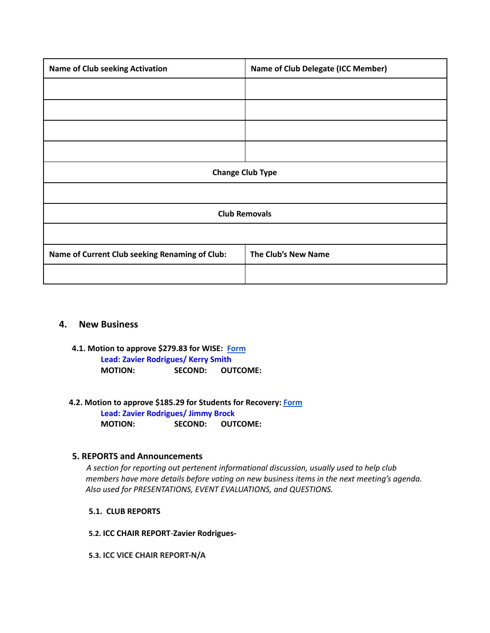| <b>Name of Club seeking Activation</b>         | <b>Name of Club Delegate (ICC Member)</b> |  |
|------------------------------------------------|-------------------------------------------|--|
|                                                |                                           |  |
|                                                |                                           |  |
|                                                |                                           |  |
|                                                |                                           |  |
| <b>Change Club Type</b>                        |                                           |  |
|                                                |                                           |  |
| <b>Club Removals</b>                           |                                           |  |
|                                                |                                           |  |
| Name of Current Club seeking Renaming of Club: | The Club's New Name                       |  |
|                                                |                                           |  |

# **4. New Business**

- **4.1. Motion to approve \$279.83 for WISE: [Form](https://drive.google.com/file/d/1brAQZ-y9uvbYPfb49s4XUFRLwoVoO8z3/view?usp=sharing) Lead: Zavier Rodrigues/ Kerry Smith MOTION: SECOND: OUTCOME:**
- **4.2. Motion to approve \$185.29 for Students for Recovery: [Form](https://drive.google.com/file/d/122ZLQTAtTgipJTy7uy52CSceKNMEmWSR/view?usp=sharing)**

**Lead: Zavier Rodrigues/ Jimmy Brock MOTION: SECOND: OUTCOME:**

# **5. REPORTS and Announcements**

*A section for reporting out pertenent informational discussion, usually used to help club members have more details before voting on new business items in the next meeting's agenda. Also used for PRESENTATIONS, EVENT EVALUATIONS, and QUESTIONS.*

- **5.1. CLUB REPORTS**
- **5.2. ICC CHAIR REPORT**-**Zavier Rodrigues-**
- **5.3. ICC VICE CHAIR REPORT-N/A**